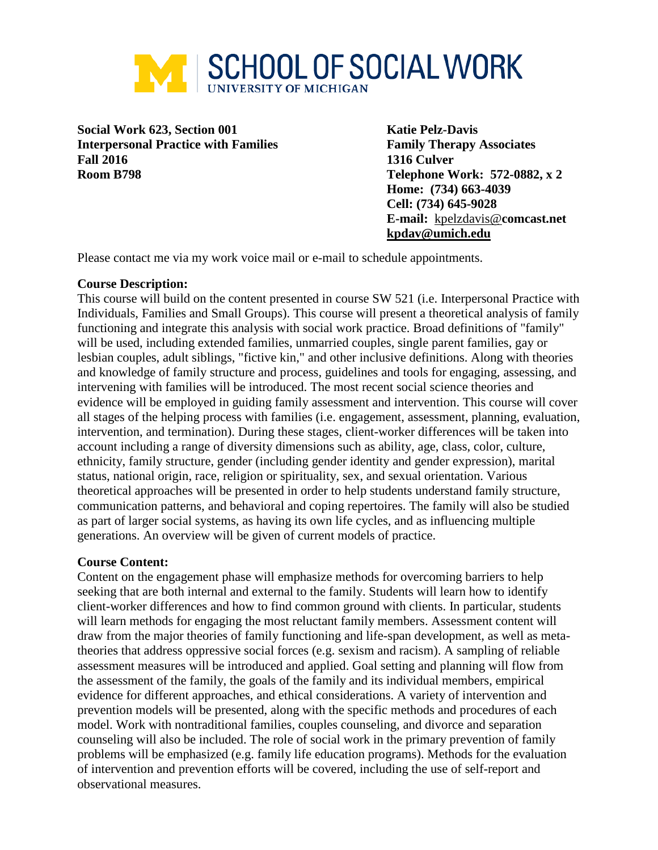

**Social Work 623, Section 001 Katie Pelz-Davis Interpersonal Practice with Families Family Therapy Associates Fall 2016 1316 Culver Room B798 Telephone Work: 572-0882, x 2**

**Home: (734) 663-4039 Cell: (734) 645-9028 E-mail:** [kpelzdavis@](mailto:kpelzdavis@aol.com)**comcast.net kpdav@umich.edu**

Please contact me via my work voice mail or e-mail to schedule appointments.

# **Course Description:**

This course will build on the content presented in course SW 521 (i.e. Interpersonal Practice with Individuals, Families and Small Groups). This course will present a theoretical analysis of family functioning and integrate this analysis with social work practice. Broad definitions of "family" will be used, including extended families, unmarried couples, single parent families, gay or lesbian couples, adult siblings, "fictive kin," and other inclusive definitions. Along with theories and knowledge of family structure and process, guidelines and tools for engaging, assessing, and intervening with families will be introduced. The most recent social science theories and evidence will be employed in guiding family assessment and intervention. This course will cover all stages of the helping process with families (i.e. engagement, assessment, planning, evaluation, intervention, and termination). During these stages, client-worker differences will be taken into account including a range of diversity dimensions such as ability, age, class, color, culture, ethnicity, family structure, gender (including gender identity and gender expression), marital status, national origin, race, religion or spirituality, sex, and sexual orientation. Various theoretical approaches will be presented in order to help students understand family structure, communication patterns, and behavioral and coping repertoires. The family will also be studied as part of larger social systems, as having its own life cycles, and as influencing multiple generations. An overview will be given of current models of practice.

# **Course Content:**

Content on the engagement phase will emphasize methods for overcoming barriers to help seeking that are both internal and external to the family. Students will learn how to identify client-worker differences and how to find common ground with clients. In particular, students will learn methods for engaging the most reluctant family members. Assessment content will draw from the major theories of family functioning and life-span development, as well as metatheories that address oppressive social forces (e.g. sexism and racism). A sampling of reliable assessment measures will be introduced and applied. Goal setting and planning will flow from the assessment of the family, the goals of the family and its individual members, empirical evidence for different approaches, and ethical considerations. A variety of intervention and prevention models will be presented, along with the specific methods and procedures of each model. Work with nontraditional families, couples counseling, and divorce and separation counseling will also be included. The role of social work in the primary prevention of family problems will be emphasized (e.g. family life education programs). Methods for the evaluation of intervention and prevention efforts will be covered, including the use of self-report and observational measures.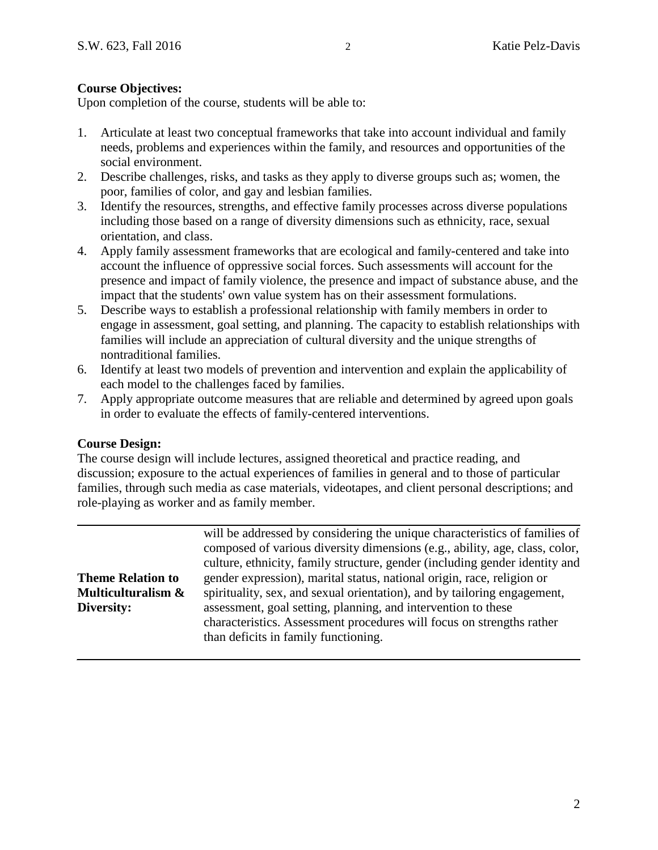# **Course Objectives:**

Upon completion of the course, students will be able to:

- 1. Articulate at least two conceptual frameworks that take into account individual and family needs, problems and experiences within the family, and resources and opportunities of the social environment.
- 2. Describe challenges, risks, and tasks as they apply to diverse groups such as; women, the poor, families of color, and gay and lesbian families.
- 3. Identify the resources, strengths, and effective family processes across diverse populations including those based on a range of diversity dimensions such as ethnicity, race, sexual orientation, and class.
- 4. Apply family assessment frameworks that are ecological and family-centered and take into account the influence of oppressive social forces. Such assessments will account for the presence and impact of family violence, the presence and impact of substance abuse, and the impact that the students' own value system has on their assessment formulations.
- 5. Describe ways to establish a professional relationship with family members in order to engage in assessment, goal setting, and planning. The capacity to establish relationships with families will include an appreciation of cultural diversity and the unique strengths of nontraditional families.
- 6. Identify at least two models of prevention and intervention and explain the applicability of each model to the challenges faced by families.
- 7. Apply appropriate outcome measures that are reliable and determined by agreed upon goals in order to evaluate the effects of family-centered interventions.

# **Course Design:**

The course design will include lectures, assigned theoretical and practice reading, and discussion; exposure to the actual experiences of families in general and to those of particular families, through such media as case materials, videotapes, and client personal descriptions; and role-playing as worker and as family member.

|                          | will be addressed by considering the unique characteristics of families of  |
|--------------------------|-----------------------------------------------------------------------------|
|                          | composed of various diversity dimensions (e.g., ability, age, class, color, |
|                          | culture, ethnicity, family structure, gender (including gender identity and |
| <b>Theme Relation to</b> | gender expression), marital status, national origin, race, religion or      |
| Multiculturalism &       | spirituality, sex, and sexual orientation), and by tailoring engagement,    |
| Diversity:               | assessment, goal setting, planning, and intervention to these               |
|                          | characteristics. Assessment procedures will focus on strengths rather       |
|                          | than deficits in family functioning.                                        |
|                          |                                                                             |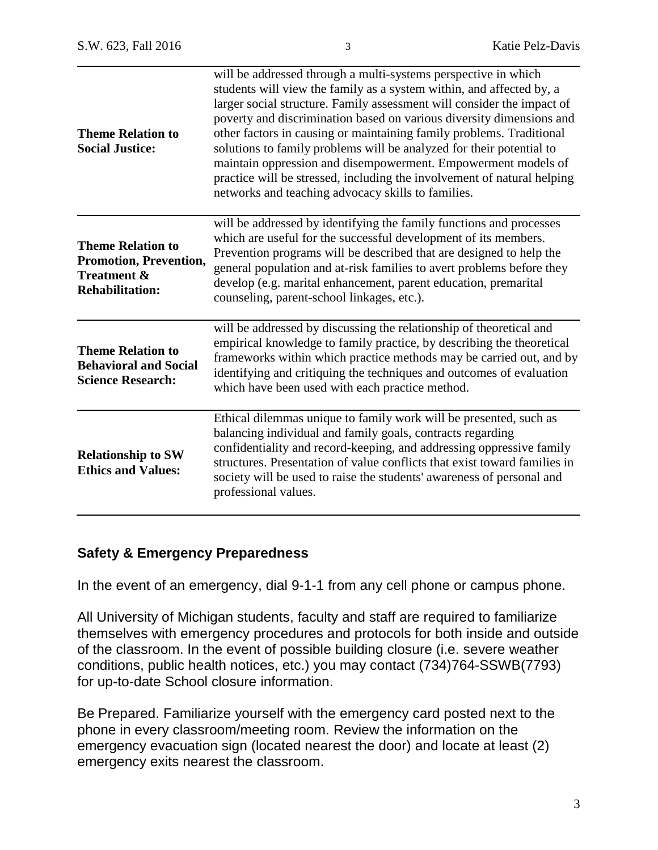| <b>Theme Relation to</b><br><b>Social Justice:</b>                                                     | will be addressed through a multi-systems perspective in which<br>students will view the family as a system within, and affected by, a<br>larger social structure. Family assessment will consider the impact of<br>poverty and discrimination based on various diversity dimensions and<br>other factors in causing or maintaining family problems. Traditional<br>solutions to family problems will be analyzed for their potential to<br>maintain oppression and disempowerment. Empowerment models of<br>practice will be stressed, including the involvement of natural helping<br>networks and teaching advocacy skills to families. |
|--------------------------------------------------------------------------------------------------------|--------------------------------------------------------------------------------------------------------------------------------------------------------------------------------------------------------------------------------------------------------------------------------------------------------------------------------------------------------------------------------------------------------------------------------------------------------------------------------------------------------------------------------------------------------------------------------------------------------------------------------------------|
| <b>Theme Relation to</b><br>Promotion, Prevention,<br><b>Treatment &amp;</b><br><b>Rehabilitation:</b> | will be addressed by identifying the family functions and processes<br>which are useful for the successful development of its members.<br>Prevention programs will be described that are designed to help the<br>general population and at-risk families to avert problems before they<br>develop (e.g. marital enhancement, parent education, premarital<br>counseling, parent-school linkages, etc.).                                                                                                                                                                                                                                    |
| <b>Theme Relation to</b><br><b>Behavioral and Social</b><br><b>Science Research:</b>                   | will be addressed by discussing the relationship of theoretical and<br>empirical knowledge to family practice, by describing the theoretical<br>frameworks within which practice methods may be carried out, and by<br>identifying and critiquing the techniques and outcomes of evaluation<br>which have been used with each practice method.                                                                                                                                                                                                                                                                                             |
| <b>Relationship to SW</b><br><b>Ethics and Values:</b>                                                 | Ethical dilemmas unique to family work will be presented, such as<br>balancing individual and family goals, contracts regarding<br>confidentiality and record-keeping, and addressing oppressive family<br>structures. Presentation of value conflicts that exist toward families in<br>society will be used to raise the students' awareness of personal and<br>professional values.                                                                                                                                                                                                                                                      |

# **Safety & Emergency Preparedness**

In the event of an emergency, dial 9-1-1 from any cell phone or campus phone.

All University of Michigan students, faculty and staff are required to familiarize themselves with emergency procedures and protocols for both inside and outside of the classroom. In the event of possible building closure (i.e. severe weather conditions, public health notices, etc.) you may contact (734)764-SSWB(7793) for up-to-date School closure information.

Be Prepared. Familiarize yourself with the emergency card posted next to the phone in every classroom/meeting room. Review the information on the emergency evacuation sign (located nearest the door) and locate at least (2) emergency exits nearest the classroom.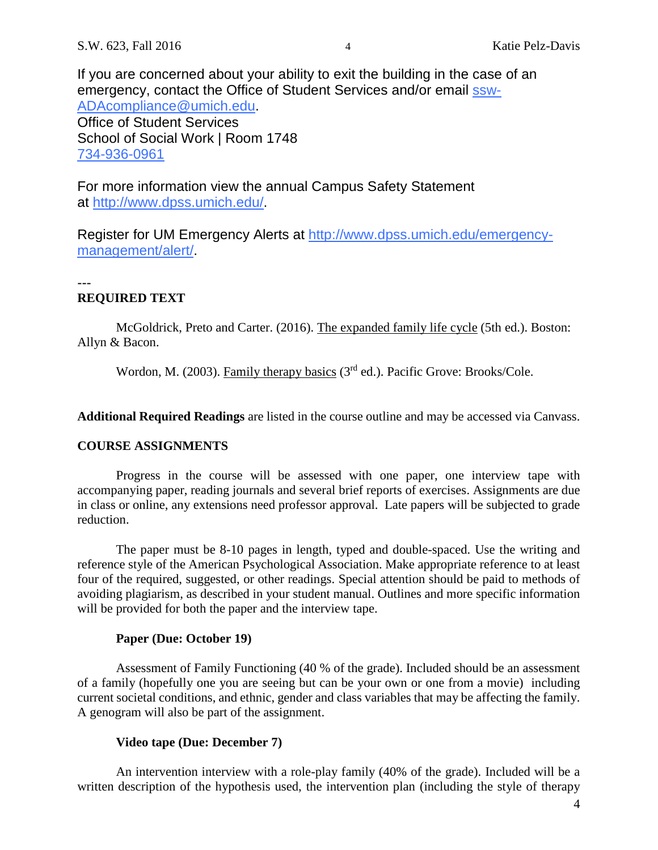If you are concerned about your ability to exit the building in the case of an emergency, contact the Office of Student Services and/or email [ssw-](mailto:ssw-ADAcompliance@umich.edu)[ADAcompliance@umich.edu.](mailto:ssw-ADAcompliance@umich.edu) Office of Student Services School of Social Work | Room 1748 [734-936-0961](tel:734-936-0961)

For more information view the annual Campus Safety Statement at [http://www.dpss.umich.edu/.](http://www.dpss.umich.edu/)

Register for UM Emergency Alerts at [http://www.dpss.umich.edu/emergency](http://www.dpss.umich.edu/emergency-management/alert/)[management/alert/.](http://www.dpss.umich.edu/emergency-management/alert/)

## ---

# **REQUIRED TEXT**

McGoldrick, Preto and Carter. (2016). The expanded family life cycle (5th ed.). Boston: Allyn & Bacon.

Wordon, M. (2003). Family therapy basics (3<sup>rd</sup> ed.). Pacific Grove: Brooks/Cole.

**Additional Required Readings** are listed in the course outline and may be accessed via Canvass.

# **COURSE ASSIGNMENTS**

Progress in the course will be assessed with one paper, one interview tape with accompanying paper, reading journals and several brief reports of exercises. Assignments are due in class or online, any extensions need professor approval. Late papers will be subjected to grade reduction.

The paper must be 8-10 pages in length, typed and double-spaced. Use the writing and reference style of the American Psychological Association. Make appropriate reference to at least four of the required, suggested, or other readings. Special attention should be paid to methods of avoiding plagiarism, as described in your student manual. Outlines and more specific information will be provided for both the paper and the interview tape.

### **Paper (Due: October 19)**

Assessment of Family Functioning (40 % of the grade). Included should be an assessment of a family (hopefully one you are seeing but can be your own or one from a movie) including current societal conditions, and ethnic, gender and class variables that may be affecting the family. A genogram will also be part of the assignment.

# **Video tape (Due: December 7)**

An intervention interview with a role-play family (40% of the grade). Included will be a written description of the hypothesis used, the intervention plan (including the style of therapy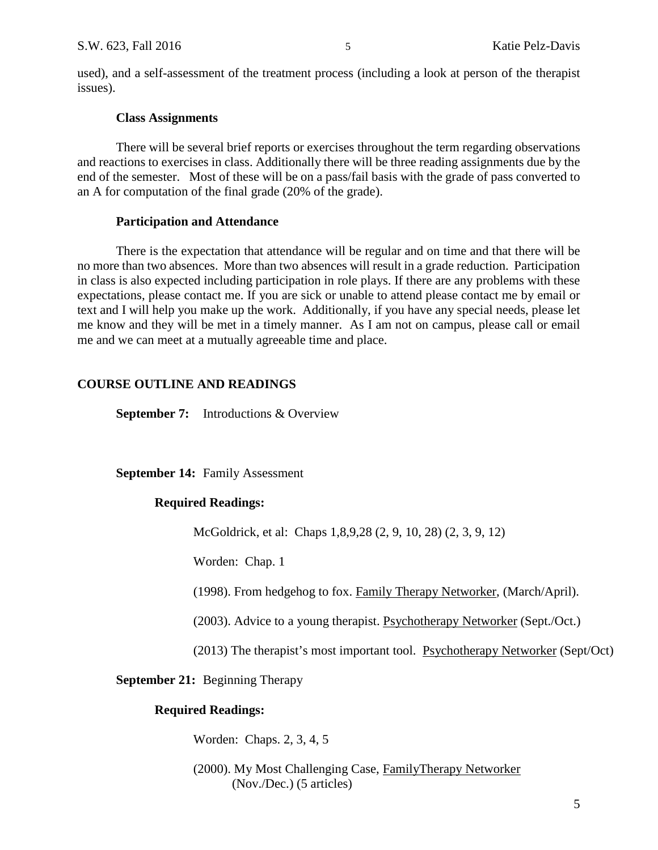used), and a self-assessment of the treatment process (including a look at person of the therapist issues).

### **Class Assignments**

There will be several brief reports or exercises throughout the term regarding observations and reactions to exercises in class. Additionally there will be three reading assignments due by the end of the semester. Most of these will be on a pass/fail basis with the grade of pass converted to an A for computation of the final grade (20% of the grade).

### **Participation and Attendance**

There is the expectation that attendance will be regular and on time and that there will be no more than two absences. More than two absences will result in a grade reduction. Participation in class is also expected including participation in role plays. If there are any problems with these expectations, please contact me. If you are sick or unable to attend please contact me by email or text and I will help you make up the work. Additionally, if you have any special needs, please let me know and they will be met in a timely manner. As I am not on campus, please call or email me and we can meet at a mutually agreeable time and place.

# **COURSE OUTLINE AND READINGS**

**September 7:** Introductions & Overview

**September 14:** Family Assessment

# **Required Readings:**

McGoldrick, et al: Chaps 1,8,9,28 (2, 9, 10, 28) (2, 3, 9, 12)

Worden: Chap. 1

(1998). From hedgehog to fox. Family Therapy Networker, (March/April).

(2003). Advice to a young therapist. Psychotherapy Networker (Sept./Oct.)

(2013) The therapist's most important tool. Psychotherapy Networker (Sept/Oct)

**September 21:** Beginning Therapy

# **Required Readings:**

Worden: Chaps. 2, 3, 4, 5

(2000). My Most Challenging Case, FamilyTherapy Networker (Nov./Dec.) (5 articles)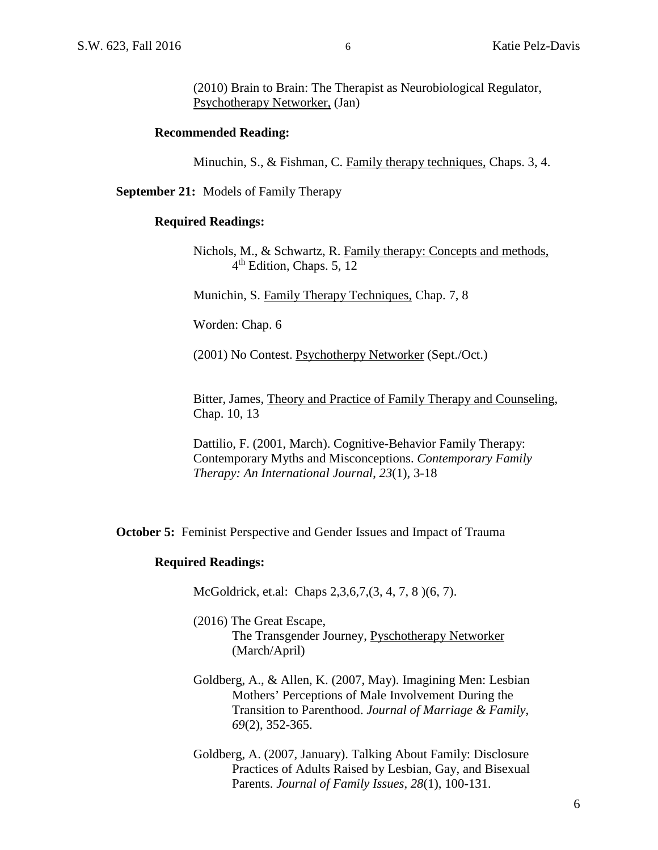(2010) Brain to Brain: The Therapist as Neurobiological Regulator, Psychotherapy Networker, (Jan)

### **Recommended Reading:**

Minuchin, S., & Fishman, C. Family therapy techniques, Chaps. 3, 4.

**September 21:** Models of Family Therapy

### **Required Readings:**

Nichols, M., & Schwartz, R. Family therapy: Concepts and methods, 4th Edition, Chaps. 5, 12

Munichin, S. Family Therapy Techniques, Chap. 7, 8

Worden: Chap. 6

(2001) No Contest. Psychotherpy Networker (Sept./Oct.)

Bitter, James, Theory and Practice of Family Therapy and Counseling, Chap. 10, 13

Dattilio, F. (2001, March). Cognitive-Behavior Family Therapy: Contemporary Myths and Misconceptions. *Contemporary Family Therapy: An International Journal*, *23*(1), 3-18

**October 5:** Feminist Perspective and Gender Issues and Impact of Trauma

### **Required Readings:**

McGoldrick, et.al: Chaps 2,3,6,7,(3, 4, 7, 8 )(6, 7).

(2016) The Great Escape, The Transgender Journey, Pyschotherapy Networker (March/April)

- Goldberg, A., & Allen, K. (2007, May). Imagining Men: Lesbian Mothers' Perceptions of Male Involvement During the Transition to Parenthood. *Journal of Marriage & Family*, *69*(2), 352-365.
- Goldberg, A. (2007, January). Talking About Family: Disclosure Practices of Adults Raised by Lesbian, Gay, and Bisexual Parents. *Journal of Family Issues*, *28*(1), 100-131.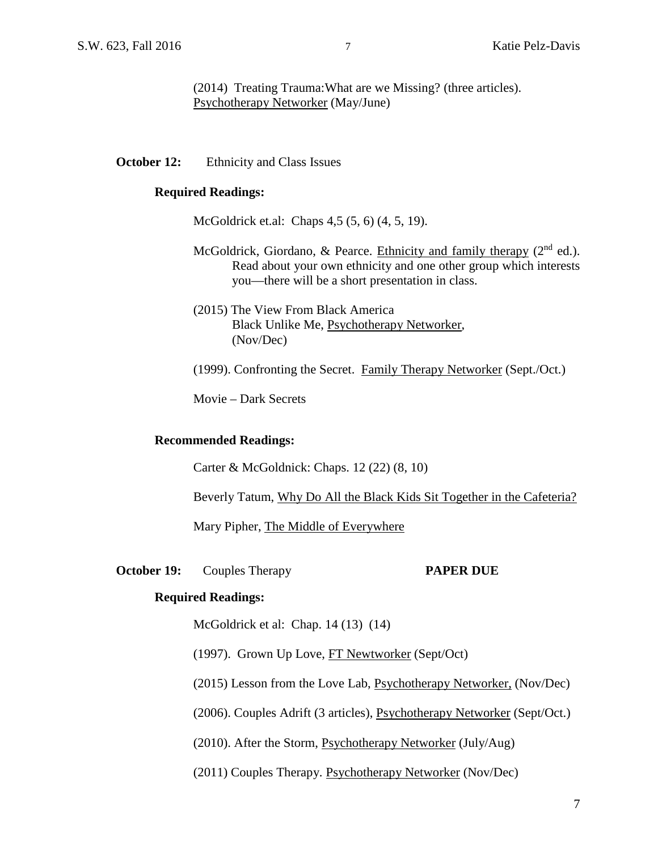(2014) Treating Trauma:What are we Missing? (three articles). Psychotherapy Networker (May/June)

### **October 12:** Ethnicity and Class Issues

### **Required Readings:**

McGoldrick et.al: Chaps 4,5 (5, 6) (4, 5, 19).

- McGoldrick, Giordano, & Pearce. Ethnicity and family therapy  $(2<sup>nd</sup>$  ed.). Read about your own ethnicity and one other group which interests you—there will be a short presentation in class.
- (2015) The View From Black America Black Unlike Me, Psychotherapy Networker, (Nov/Dec)

(1999). Confronting the Secret. Family Therapy Networker (Sept./Oct.)

Movie – Dark Secrets

### **Recommended Readings:**

Carter & McGoldnick: Chaps. 12 (22) (8, 10)

Beverly Tatum, Why Do All the Black Kids Sit Together in the Cafeteria?

Mary Pipher, The Middle of Everywhere

### **October 19:** Couples Therapy **PAPER DUE**

### **Required Readings:**

McGoldrick et al: Chap. 14 (13) (14)

(1997). Grown Up Love, FT Newtworker (Sept/Oct)

(2015) Lesson from the Love Lab, Psychotherapy Networker, (Nov/Dec)

(2006). Couples Adrift (3 articles), Psychotherapy Networker (Sept/Oct.)

(2010). After the Storm, Psychotherapy Networker (July/Aug)

(2011) Couples Therapy. Psychotherapy Networker (Nov/Dec)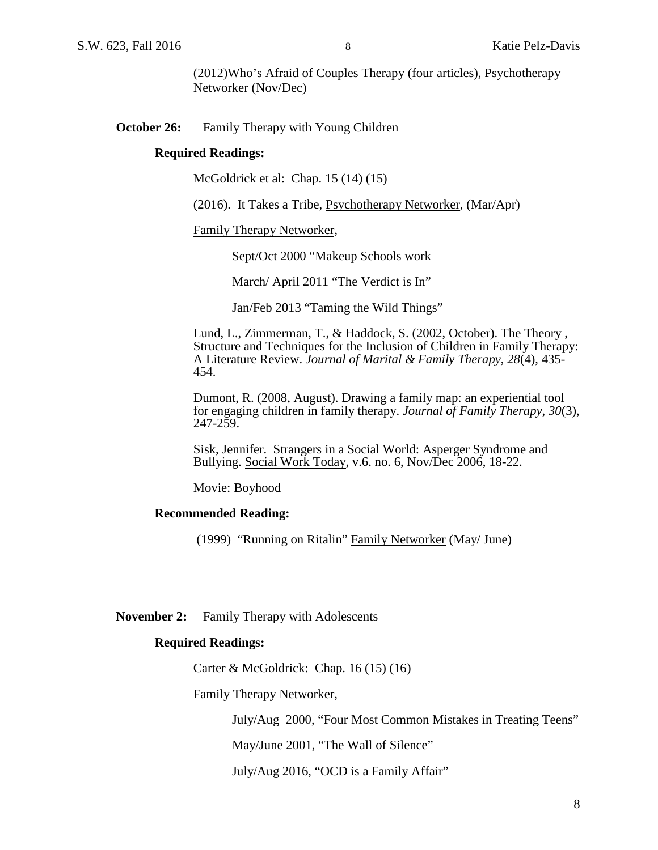(2012)Who's Afraid of Couples Therapy (four articles), Psychotherapy Networker (Nov/Dec)

### **October 26:** Family Therapy with Young Children

### **Required Readings:**

McGoldrick et al: Chap. 15 (14) (15)

(2016). It Takes a Tribe, Psychotherapy Networker, (Mar/Apr)

Family Therapy Networker,

Sept/Oct 2000 "Makeup Schools work

March/ April 2011 "The Verdict is In"

Jan/Feb 2013 "Taming the Wild Things"

Lund, L., Zimmerman, T., & Haddock, S. (2002, October). The Theory , Structure and Techniques for the Inclusion of Children in Family Therapy: A Literature Review. *Journal of Marital & Family Therapy*, *28*(4), 435- 454.

Dumont, R. (2008, August). Drawing a family map: an experiential tool for engaging children in family therapy. *Journal of Family Therapy*, *30*(3), 247-259.

Sisk, Jennifer. Strangers in a Social World: Asperger Syndrome and Bullying. Social Work Today, v.6. no. 6, Nov/Dec 2006, 18-22.

Movie: Boyhood

### **Recommended Reading:**

(1999) "Running on Ritalin" Family Networker (May/ June)

**November 2:** Family Therapy with Adolescents

### **Required Readings:**

Carter & McGoldrick: Chap. 16 (15) (16)

Family Therapy Networker,

July/Aug 2000, "Four Most Common Mistakes in Treating Teens"

May/June 2001, "The Wall of Silence"

July/Aug 2016, "OCD is a Family Affair"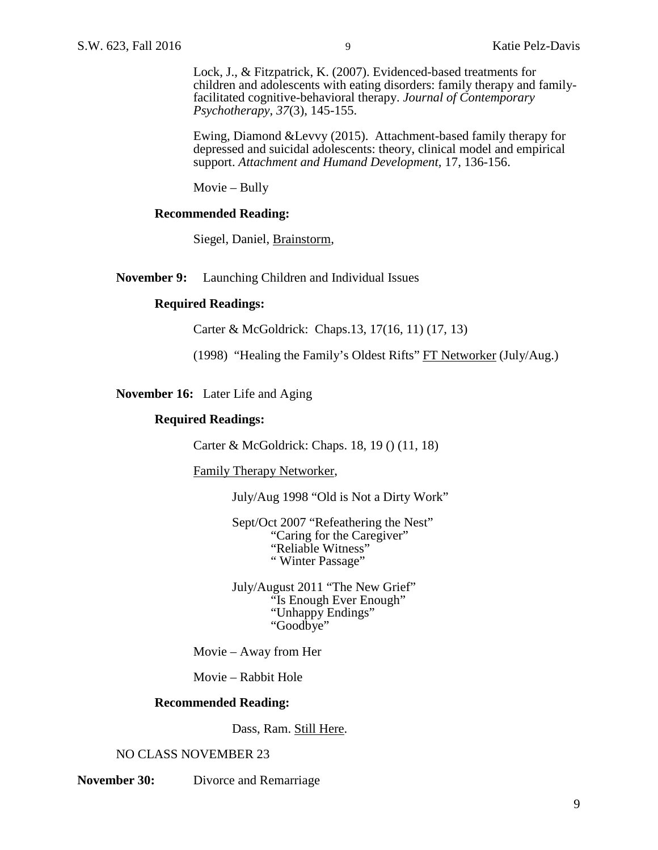Lock, J., & Fitzpatrick, K. (2007). Evidenced-based treatments for children and adolescents with eating disorders: family therapy and family- facilitated cognitive-behavioral therapy. *Journal of Contemporary Psychotherapy*, *37*(3), 145-155.

Ewing, Diamond &Levvy (2015). Attachment-based family therapy for depressed and suicidal adolescents: theory, clinical model and empirical support. *Attachment and Humand Development,* 17, 136-156.

Movie – Bully

### **Recommended Reading:**

Siegel, Daniel, Brainstorm,

**November 9:** Launching Children and Individual Issues

### **Required Readings:**

Carter & McGoldrick: Chaps.13, 17(16, 11) (17, 13)

(1998) "Healing the Family's Oldest Rifts" FT Networker (July/Aug.)

**November 16:** Later Life and Aging

### **Required Readings:**

Carter & McGoldrick: Chaps. 18, 19 () (11, 18)

Family Therapy Networker,

July/Aug 1998 "Old is Not a Dirty Work"

Sept/Oct 2007 "Refeathering the Nest" "Caring for the Caregiver" "Reliable Witness" " Winter Passage"

July/August 2011 "The New Grief" "Is Enough Ever Enough" "Unhappy Endings" "Goodbye"

Movie – Away from Her

Movie – Rabbit Hole

### **Recommended Reading:**

Dass, Ram. Still Here.

### NO CLASS NOVEMBER 23

**November 30:** Divorce and Remarriage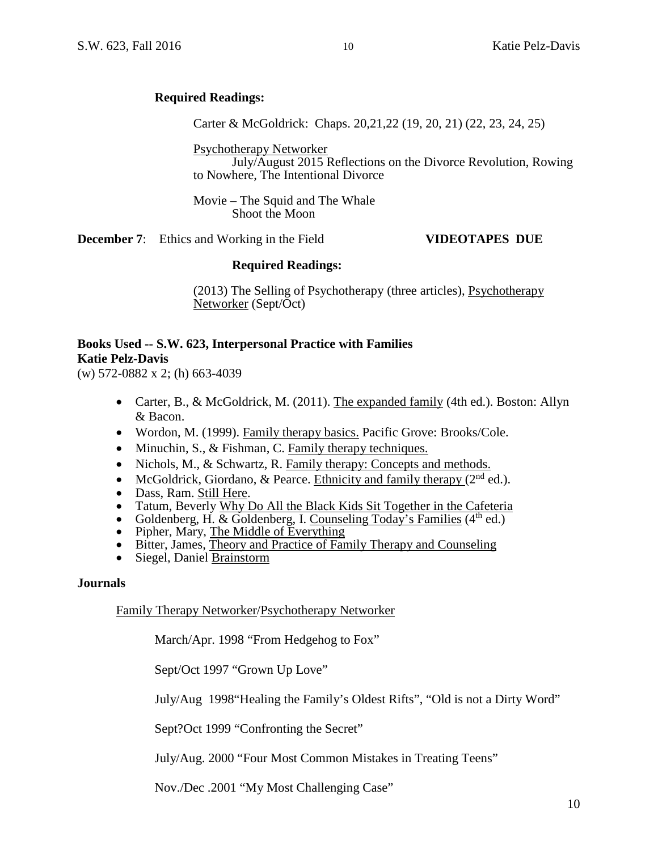# **Required Readings:**

Carter & McGoldrick: Chaps. 20,21,22 (19, 20, 21) (22, 23, 24, 25)

Psychotherapy Networker

July/August 2015 Reflections on the Divorce Revolution, Rowing to Nowhere, The Intentional Divorce

Movie – The Squid and The Whale Shoot the Moon

**December 7**: Ethics and Working in the Field **VIDEOTAPES DUE**

### **Required Readings:**

(2013) The Selling of Psychotherapy (three articles), Psychotherapy Networker (Sept/Oct)

# **Books Used -- S.W. 623, Interpersonal Practice with Families Katie Pelz-Davis**

(w) 572-0882 x 2; (h) 663-4039

- Carter, B., & McGoldrick, M. (2011). The expanded family (4th ed.). Boston: Allyn & Bacon.
- Wordon, M. (1999). Family therapy basics. Pacific Grove: Brooks/Cole.
- Minuchin, S., & Fishman, C. Family therapy techniques.
- Nichols, M., & Schwartz, R. Family therapy: Concepts and methods.
- McGoldrick, Giordano, & Pearce. Ethnicity and family therapy  $(2^{nd}$  ed.).
- 
- Dass, Ram. <u>Still Here</u>.<br>
 Tatum, Beverly Why Do All the Black Kids Sit Together in the Cafeteria<br>
 Goldenberg, H. & Goldenberg, I. Counseling Today's Families (4<sup>th</sup> ed.)<br>
 Pipher, Mary, <u>The Middle of Everything</u><br>
•
- 
- 
- 
- 

### **Journals**

Family Therapy Networker/Psychotherapy Networker

March/Apr. 1998 "From Hedgehog to Fox"

Sept/Oct 1997 "Grown Up Love"

July/Aug 1998"Healing the Family's Oldest Rifts", "Old is not a Dirty Word"

Sept?Oct 1999 "Confronting the Secret"

July/Aug. 2000 "Four Most Common Mistakes in Treating Teens"

Nov./Dec .2001 "My Most Challenging Case"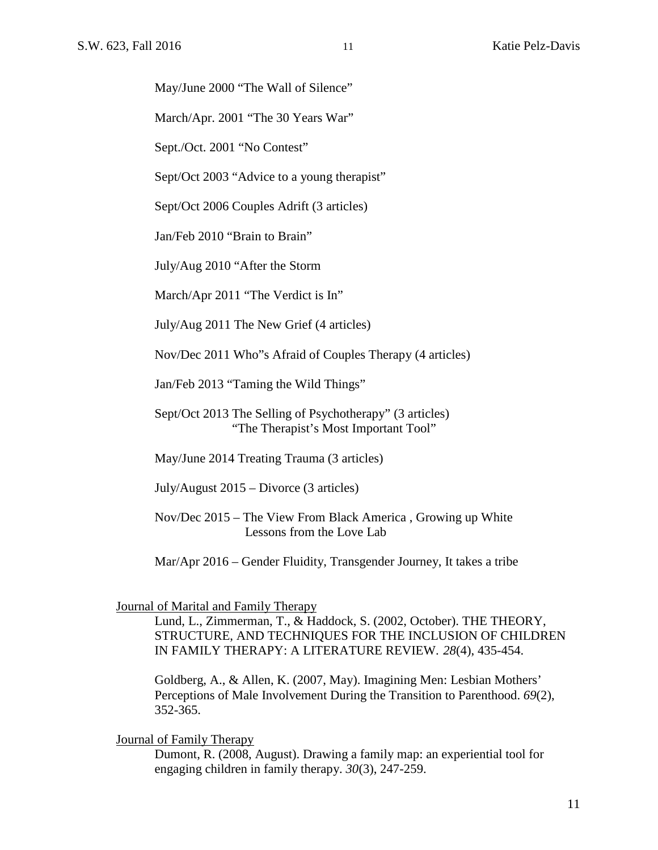May/June 2000 "The Wall of Silence"

March/Apr. 2001 "The 30 Years War"

Sept./Oct. 2001 "No Contest"

Sept/Oct 2003 "Advice to a young therapist"

Sept/Oct 2006 Couples Adrift (3 articles)

Jan/Feb 2010 "Brain to Brain"

July/Aug 2010 "After the Storm

March/Apr 2011 "The Verdict is In"

July/Aug 2011 The New Grief (4 articles)

Nov/Dec 2011 Who"s Afraid of Couples Therapy (4 articles)

Jan/Feb 2013 "Taming the Wild Things"

Sept/Oct 2013 The Selling of Psychotherapy" (3 articles) "The Therapist's Most Important Tool"

May/June 2014 Treating Trauma (3 articles)

July/August 2015 – Divorce (3 articles)

Nov/Dec 2015 – The View From Black America , Growing up White Lessons from the Love Lab

Mar/Apr 2016 – Gender Fluidity, Transgender Journey, It takes a tribe

Journal of Marital and Family Therapy

Lund, L., Zimmerman, T., & Haddock, S. (2002, October). THE THEORY, STRUCTURE, AND TECHNIQUES FOR THE INCLUSION OF CHILDREN IN FAMILY THERAPY: A LITERATURE REVIEW. *28*(4), 435-454.

Goldberg, A., & Allen, K. (2007, May). Imagining Men: Lesbian Mothers' Perceptions of Male Involvement During the Transition to Parenthood. *69*(2), 352-365.

Journal of Family Therapy

Dumont, R. (2008, August). Drawing a family map: an experiential tool for engaging children in family therapy. *30*(3), 247-259.